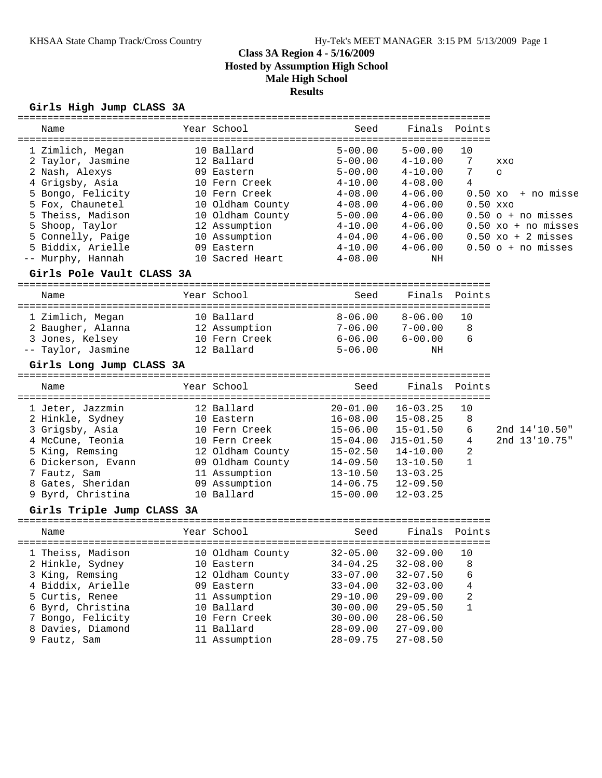## **Girls High Jump CLASS 3A**

| Name                       | ============<br>Year School        | Seed                    | Finals                                  | Points     |                                      |
|----------------------------|------------------------------------|-------------------------|-----------------------------------------|------------|--------------------------------------|
| 1 Zimlich, Megan           | 10 Ballard                         | $5 - 00.00$             | $5 - 00.00$                             | 10         |                                      |
| 2 Taylor, Jasmine          | 12 Ballard                         | $5 - 00.00$             | $4 - 10.00$                             | 7          | <b>XXO</b>                           |
| 2 Nash, Alexys             | 09 Eastern                         | $5 - 00.00$             | $4 - 10.00$                             | 7          | $\circ$                              |
| 4 Grigsby, Asia            | 10 Fern Creek                      | $4 - 10.00$             | $4 - 08.00$                             | 4          |                                      |
| 5 Bongo, Felicity          | 10 Fern Creek                      | $4 - 08.00$             | $4 - 06.00$                             | $0.50 x$ o | + no misse                           |
| 5 Fox, Chaunetel           | 10 Oldham County                   | $4 - 08.00$             | $4 - 06.00$                             | $0.50$ xxo |                                      |
| 5 Theiss, Madison          | 10 Oldham County                   | $5 - 00.00$             | $4 - 06.00$                             |            | $0.50$ o + no misses                 |
| 5 Shoop, Taylor            | 12 Assumption                      | $4 - 10.00$             | $4 - 06.00$                             |            | $0.50$ xo + no misses                |
| 5 Connelly, Paige          | 10 Assumption                      | $4 - 04.00$             | $4 - 06.00$                             |            | $0.50 \text{ xo} + 2 \text{ misses}$ |
| 5 Biddix, Arielle          | 09 Eastern                         | $4 - 10.00$             | $4 - 06.00$                             |            | $0.50$ o + no misses                 |
| -- Murphy, Hannah          | 10 Sacred Heart                    | $4 - 08.00$             | NH                                      |            |                                      |
| Girls Pole Vault CLASS 3A  |                                    |                         |                                         |            |                                      |
| Name                       | Year School                        | Seed                    | Finals                                  | Points     |                                      |
| 1 Zimlich, Megan           | 10 Ballard                         | $8 - 06.00$             | $8 - 06.00$                             | 10         |                                      |
| 2 Baugher, Alanna          | 12 Assumption                      | $7 - 06.00$             | $7 - 00.00$                             | 8          |                                      |
| 3 Jones, Kelsey            | 10 Fern Creek                      | $6 - 06.00$             | $6 - 00.00$                             | 6          |                                      |
| -- Taylor, Jasmine         | 12 Ballard                         | $5 - 06.00$             | ΝH                                      |            |                                      |
| Girls Long Jump CLASS 3A   |                                    |                         |                                         |            |                                      |
| Name                       | Year School                        | Seed                    | Finals                                  | Points     |                                      |
| 1 Jeter, Jazzmin           | ====================<br>12 Ballard | =======<br>$20 - 01.00$ | =======================<br>$16 - 03.25$ | 10         |                                      |
| 2 Hinkle, Sydney           | 10 Eastern                         | $16 - 08.00$            | $15 - 08.25$                            | 8          |                                      |
| 3 Grigsby, Asia            | 10 Fern Creek                      | $15 - 06.00$            | $15 - 01.50$                            | 6          | 2nd 14'10.50"                        |
| 4 McCune, Teonia           | 10 Fern Creek                      | $15 - 04.00$            | $J15 - 01.50$                           | 4          | 2nd 13'10.75"                        |
| 5 King, Remsing            | 12 Oldham County                   | $15 - 02.50$            | $14 - 10.00$                            | 2          |                                      |
| 6 Dickerson, Evann         | 09 Oldham County                   | $14 - 09.50$            | $13 - 10.50$                            | 1          |                                      |
| 7 Fautz, Sam               | 11 Assumption                      | $13 - 10.50$            | $13 - 03.25$                            |            |                                      |
| 8 Gates, Sheridan          | 09 Assumption                      | $14 - 06.75$            | $12 - 09.50$                            |            |                                      |
| 9 Byrd, Christina          | 10 Ballard                         | $15 - 00.00$            | $12 - 03.25$                            |            |                                      |
| Girls Triple Jump CLASS 3A |                                    |                         |                                         |            |                                      |
| Name                       | Year School                        | Seed                    | Finals                                  | Points     |                                      |
| 1 Theiss, Madison          | 10 Oldham County                   | $32 - 05.00$            | $32 - 09.00$                            | 10         |                                      |
| 2 Hinkle, Sydney           | 10 Eastern                         | $34 - 04.25$            | $32 - 08.00$                            | 8          |                                      |
| 3 King, Remsing            | 12 Oldham County                   | $33 - 07.00$            | $32 - 07.50$                            | 6          |                                      |
| 4 Biddix, Arielle          | 09 Eastern                         | $33 - 04.00$            | $32 - 03.00$                            | 4          |                                      |
| 5 Curtis, Renee            | 11 Assumption                      | $29 - 10.00$            | $29 - 09.00$                            | 2          |                                      |
| 6 Byrd, Christina          | 10 Ballard                         | $30 - 00.00$            | $29 - 05.50$                            | 1          |                                      |
| 7 Bongo, Felicity          | 10 Fern Creek                      | $30 - 00.00$            | $28 - 06.50$                            |            |                                      |
| 8 Davies, Diamond          | 11 Ballard                         | $28 - 09.00$            | $27 - 09.00$                            |            |                                      |
| 9 Fautz, Sam               | 11 Assumption                      | $28 - 09.75$            | $27 - 08.50$                            |            |                                      |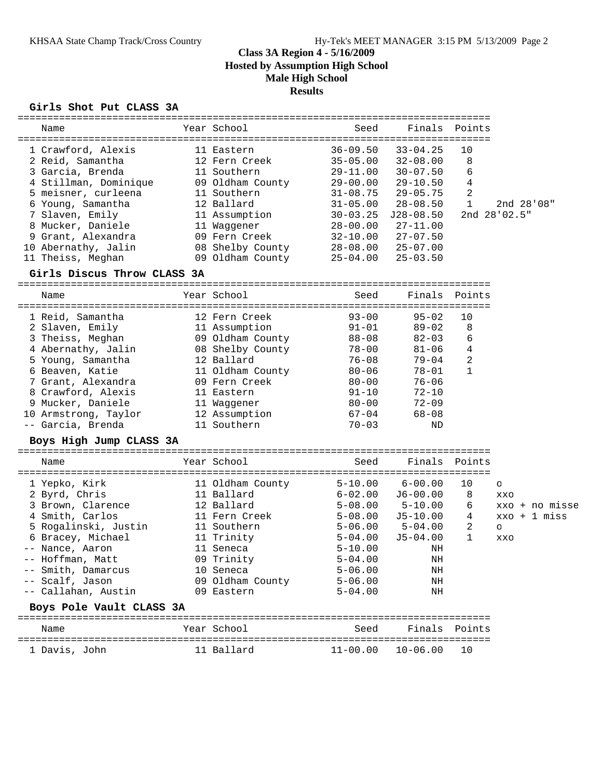## **Girls Shot Put CLASS 3A**

| ----------------------------- |                  |                                     |               |                    |                |
|-------------------------------|------------------|-------------------------------------|---------------|--------------------|----------------|
| Name                          | Year School      | Seed                                | Finals        | Points             |                |
| 1 Crawford, Alexis            | 11 Eastern       | $36 - 09.50$                        | $33 - 04.25$  | 10                 |                |
| 2 Reid, Samantha              | 12 Fern Creek    | $35 - 05.00$                        | $32 - 08.00$  | 8                  |                |
| 3 Garcia, Brenda              | 11 Southern      | $29 - 11.00$                        | $30 - 07.50$  | 6                  |                |
| 4 Stillman, Dominique         | 09 Oldham County | $29 - 00.00$                        | $29 - 10.50$  | 4                  |                |
| 5 meisner, curleena           | 11 Southern      | $31 - 08.75$                        | $29 - 05.75$  | 2                  |                |
| 6 Young, Samantha             | 12 Ballard       | $31 - 05.00$                        | $28 - 08.50$  | $\mathbf 1$        | 2nd 28'08"     |
| 7 Slaven, Emily               | 11 Assumption    | 30-03.25                            | $J28 - 08.50$ |                    | 2nd 28'02.5"   |
| 8 Mucker, Daniele             | 11 Waggener      | $28 - 00.00$                        | $27 - 11.00$  |                    |                |
| 9 Grant, Alexandra            | 09 Fern Creek    | $32 - 10.00$                        | $27 - 07.50$  |                    |                |
| 10 Abernathy, Jalin           | 08 Shelby County | $28 - 08.00$                        | $25 - 07.00$  |                    |                |
| 11 Theiss, Meghan             | 09 Oldham County | $25 - 04.00$                        | $25 - 03.50$  |                    |                |
| Girls Discus Throw CLASS 3A   |                  |                                     |               |                    |                |
| Name                          | Year School      | Seed                                | Finals        | Points             |                |
|                               |                  | ===============================     |               |                    |                |
| 1 Reid, Samantha              | 12 Fern Creek    | $93 - 00$                           | $95 - 02$     | 10                 |                |
| 2 Slaven, Emily               | 11 Assumption    | $91 - 01$                           | $89 - 02$     | 8                  |                |
| 3 Theiss, Meghan              | 09 Oldham County | 88-08                               | $82 - 03$     | 6                  |                |
| 4 Abernathy, Jalin            | 08 Shelby County | $78 - 00$                           | $81 - 06$     | 4                  |                |
| 5 Young, Samantha             | 12 Ballard       | $76 - 08$                           | $79 - 04$     | 2                  |                |
| 6 Beaven, Katie               | 11 Oldham County | $80 - 06$                           | 78-01         | $\mathbf{1}$       |                |
| 7 Grant, Alexandra            | 09 Fern Creek    | $80 - 00$                           | $76 - 06$     |                    |                |
| 8 Crawford, Alexis            | 11 Eastern       | $91 - 10$                           | $72 - 10$     |                    |                |
| 9 Mucker, Daniele             | 11 Waggener      | $80 - 00$                           | $72 - 09$     |                    |                |
| 10 Armstrong, Taylor          | 12 Assumption    | $67 - 04$                           | $68 - 08$     |                    |                |
| -- Garcia, Brenda             | 11 Southern      | $70 - 03$                           | ND            |                    |                |
| Boys High Jump CLASS 3A       |                  |                                     |               |                    |                |
| Name                          | Year School      | Seed                                | Finals        | Points             |                |
| 1 Yepko, Kirk                 | 11 Oldham County | $5 - 10.00$                         | $6 - 00.00$   | 10                 | $\circ$        |
| 2 Byrd, Chris                 | 11 Ballard       | $6 - 02.00$                         | $J6 - 00.00$  | 8                  | XXO            |
| 3 Brown, Clarence             | 12 Ballard       | $5 - 08.00$                         | $5 - 10.00$   | 6                  | xxo + no misse |
| 4 Smith, Carlos               | 11 Fern Creek    | $5 - 08.00$                         | $J5-10.00$    | 4                  | $xxo + 1$ miss |
| 5 Rogalinski, Justin          | 11 Southern      | $5 - 06.00$                         | 5-04.00       | $\overline{2}$     | O              |
| 6 Bracey, Michael             | 11 Trinity       | $5 - 04.00$                         | $J5 - 04.00$  | $\mathbf{1}$       | XXO            |
| -- Nance, Aaron               | 11 Seneca        | $5 - 10.00$                         | ΝH            |                    |                |
| -- Hoffman, Matt              | 09 Trinity       | $5 - 04.00$                         | ΝH            |                    |                |
| -- Smith, Damarcus            | 10 Seneca        | $5 - 06.00$                         | ΝH            |                    |                |
| -- Scalf, Jason               | 09 Oldham County | $5 - 06.00$                         | ΝH            |                    |                |
| -- Callahan, Austin           | 09 Eastern       | $5 - 04.00$                         | ΝH            |                    |                |
| Boys Pole Vault CLASS 3A      |                  |                                     |               |                    |                |
| Name                          | Year School      | Seed                                | Finals        | Points             |                |
| 1 Davis, John                 | 11 Ballard       | ===================<br>$11 - 00.00$ | $10 - 06.00$  | ============<br>10 |                |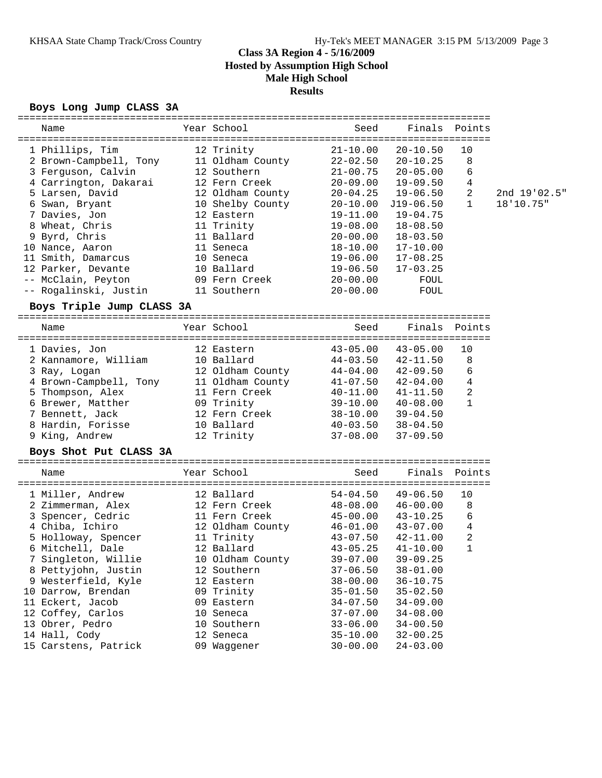#### **Boys Long Jump CLASS 3A**

| Year School<br>1 Phillips, Tim<br>12 Trinity<br>$21 - 10.00$<br>$20 - 10.50$<br>10<br>8<br>2 Brown-Campbell, Tony<br>11 Oldham County<br>22-02.50<br>$20 - 10.25$<br>6<br>3 Ferguson, Calvin<br>12 Southern<br>$21 - 00.75$<br>$20 - 05.00$<br>4<br>4 Carrington, Dakarai<br>12 Fern Creek<br>$20 - 09.00$<br>$19 - 09.50$<br>2<br>5 Larsen, David<br>12 Oldham County<br>2nd 19'02.5"<br>$20 - 04.25$<br>$19 - 06.50$<br>6 Swan, Bryant<br>10 Shelby County<br>$\mathbf{1}$<br>18'10.75"<br>$20 - 10.00$<br>J19-06.50<br>7 Davies, Jon<br>12 Eastern<br>19-11.00<br>$19 - 04.75$<br>8 Wheat, Chris<br>11 Trinity<br>$19 - 08.00$<br>$18 - 08.50$<br>9 Byrd, Chris<br>11 Ballard<br>$20 - 00.00$<br>$18 - 03.50$<br>10 Nance, Aaron<br>11 Seneca<br>18-10.00<br>$17 - 10.00$<br>11 Smith, Damarcus<br>$17 - 08.25$<br>10 Seneca<br>19-06.00<br>12 Parker, Devante<br>10 Ballard<br>19-06.50<br>$17 - 03.25$<br>-- McClain, Peyton<br>09 Fern Creek<br>$20 - 00.00$<br>FOUL<br>-- Rogalinski, Justin<br>11 Southern<br>$20 - 00.00$<br>FOUL<br>Boys Triple Jump CLASS 3A<br>Year School<br>Seed<br>Finals<br>Points<br>Name<br>=================================<br>1 Davies, Jon<br>$43 - 05.00$<br>$43 - 05.00$<br>10<br>12 Eastern<br>2 Kannamore, William<br>10 Ballard<br>44-03.50<br>8<br>$42 - 11.50$<br>6<br>12 Oldham County<br>$44 - 04.00$<br>$42 - 09.50$<br>3 Ray, Logan<br>4<br>4 Brown-Campbell, Tony<br>11 Oldham County<br>$42 - 04.00$<br>$41 - 07.50$<br>2<br>5 Thompson, Alex<br>11 Fern Creek<br>$40 - 11.00$<br>$41 - 11.50$<br>$\mathbf{1}$<br>6 Brewer, Matther<br>09 Trinity<br>39-10.00<br>$40 - 08.00$<br>7 Bennett, Jack<br>12 Fern Creek<br>38-10.00<br>$39 - 04.50$<br>8 Hardin, Forisse<br>10 Ballard<br>$40 - 03.50$<br>$38 - 04.50$<br>9 King, Andrew<br>12 Trinity<br>$37 - 08.00$<br>$37 - 09.50$<br>Boys Shot Put CLASS 3A<br>Year School<br>Finals Points<br>Seed<br>Name<br>12 Ballard<br>$49 - 06.50$<br>10<br>1 Miller, Andrew<br>54-04.50<br>2 Zimmerman, Alex<br>12 Fern Creek<br>48-08.00<br>8<br>$46 - 00.00$<br>6<br>11 Fern Creek<br>3 Spencer, Cedric<br>45-00.00<br>$43 - 10.25$<br>$\,4$<br>4 Chiba, Ichiro<br>12 Oldham County<br>$46 - 01.00$<br>$43 - 07.00$<br>$\overline{c}$<br>11 Trinity<br>5 Holloway, Spencer<br>43-07.50<br>$42 - 11.00$<br>1<br>6 Mitchell, Dale<br>12 Ballard<br>$43 - 05.25$<br>$41 - 10.00$<br>7 Singleton, Willie<br>$39 - 07.00$<br>10 Oldham County<br>$39 - 09.25$<br>8 Pettyjohn, Justin<br>12 Southern<br>$37 - 06.50$<br>$38 - 01.00$<br>9 Westerfield, Kyle<br>12 Eastern<br>$38 - 00.00$<br>$36 - 10.75$<br>09 Trinity<br>$35 - 02.50$<br>10 Darrow, Brendan<br>$35 - 01.50$<br>11 Eckert, Jacob<br>09 Eastern<br>$34 - 07.50$<br>$34 - 09.00$<br>12 Coffey, Carlos<br>10 Seneca<br>$37 - 07.00$<br>$34 - 08.00$<br>13 Obrer, Pedro<br>10 Southern<br>$34 - 00.50$<br>$33 - 06.00$<br>14 Hall, Cody<br>12 Seneca<br>$35 - 10.00$<br>$32 - 00.25$<br>15 Carstens, Patrick<br>09 Waggener<br>$30 - 00.00$<br>$24 - 03.00$ |      |  |      |        |        |  |
|----------------------------------------------------------------------------------------------------------------------------------------------------------------------------------------------------------------------------------------------------------------------------------------------------------------------------------------------------------------------------------------------------------------------------------------------------------------------------------------------------------------------------------------------------------------------------------------------------------------------------------------------------------------------------------------------------------------------------------------------------------------------------------------------------------------------------------------------------------------------------------------------------------------------------------------------------------------------------------------------------------------------------------------------------------------------------------------------------------------------------------------------------------------------------------------------------------------------------------------------------------------------------------------------------------------------------------------------------------------------------------------------------------------------------------------------------------------------------------------------------------------------------------------------------------------------------------------------------------------------------------------------------------------------------------------------------------------------------------------------------------------------------------------------------------------------------------------------------------------------------------------------------------------------------------------------------------------------------------------------------------------------------------------------------------------------------------------------------------------------------------------------------------------------------------------------------------------------------------------------------------------------------------------------------------------------------------------------------------------------------------------------------------------------------------------------------------------------------------------------------------------------------------------------------------------------------------------------------------------------------------------------------------------------------------------------------------------------------------------------------------------------------------------------------------------------------------------------------------------------------------------------------------------------------------------------------------------------------------------------------------------|------|--|------|--------|--------|--|
|                                                                                                                                                                                                                                                                                                                                                                                                                                                                                                                                                                                                                                                                                                                                                                                                                                                                                                                                                                                                                                                                                                                                                                                                                                                                                                                                                                                                                                                                                                                                                                                                                                                                                                                                                                                                                                                                                                                                                                                                                                                                                                                                                                                                                                                                                                                                                                                                                                                                                                                                                                                                                                                                                                                                                                                                                                                                                                                                                                                                                | Name |  | Seed | Finals | Points |  |
|                                                                                                                                                                                                                                                                                                                                                                                                                                                                                                                                                                                                                                                                                                                                                                                                                                                                                                                                                                                                                                                                                                                                                                                                                                                                                                                                                                                                                                                                                                                                                                                                                                                                                                                                                                                                                                                                                                                                                                                                                                                                                                                                                                                                                                                                                                                                                                                                                                                                                                                                                                                                                                                                                                                                                                                                                                                                                                                                                                                                                |      |  |      |        |        |  |
|                                                                                                                                                                                                                                                                                                                                                                                                                                                                                                                                                                                                                                                                                                                                                                                                                                                                                                                                                                                                                                                                                                                                                                                                                                                                                                                                                                                                                                                                                                                                                                                                                                                                                                                                                                                                                                                                                                                                                                                                                                                                                                                                                                                                                                                                                                                                                                                                                                                                                                                                                                                                                                                                                                                                                                                                                                                                                                                                                                                                                |      |  |      |        |        |  |
|                                                                                                                                                                                                                                                                                                                                                                                                                                                                                                                                                                                                                                                                                                                                                                                                                                                                                                                                                                                                                                                                                                                                                                                                                                                                                                                                                                                                                                                                                                                                                                                                                                                                                                                                                                                                                                                                                                                                                                                                                                                                                                                                                                                                                                                                                                                                                                                                                                                                                                                                                                                                                                                                                                                                                                                                                                                                                                                                                                                                                |      |  |      |        |        |  |
|                                                                                                                                                                                                                                                                                                                                                                                                                                                                                                                                                                                                                                                                                                                                                                                                                                                                                                                                                                                                                                                                                                                                                                                                                                                                                                                                                                                                                                                                                                                                                                                                                                                                                                                                                                                                                                                                                                                                                                                                                                                                                                                                                                                                                                                                                                                                                                                                                                                                                                                                                                                                                                                                                                                                                                                                                                                                                                                                                                                                                |      |  |      |        |        |  |
|                                                                                                                                                                                                                                                                                                                                                                                                                                                                                                                                                                                                                                                                                                                                                                                                                                                                                                                                                                                                                                                                                                                                                                                                                                                                                                                                                                                                                                                                                                                                                                                                                                                                                                                                                                                                                                                                                                                                                                                                                                                                                                                                                                                                                                                                                                                                                                                                                                                                                                                                                                                                                                                                                                                                                                                                                                                                                                                                                                                                                |      |  |      |        |        |  |
|                                                                                                                                                                                                                                                                                                                                                                                                                                                                                                                                                                                                                                                                                                                                                                                                                                                                                                                                                                                                                                                                                                                                                                                                                                                                                                                                                                                                                                                                                                                                                                                                                                                                                                                                                                                                                                                                                                                                                                                                                                                                                                                                                                                                                                                                                                                                                                                                                                                                                                                                                                                                                                                                                                                                                                                                                                                                                                                                                                                                                |      |  |      |        |        |  |
|                                                                                                                                                                                                                                                                                                                                                                                                                                                                                                                                                                                                                                                                                                                                                                                                                                                                                                                                                                                                                                                                                                                                                                                                                                                                                                                                                                                                                                                                                                                                                                                                                                                                                                                                                                                                                                                                                                                                                                                                                                                                                                                                                                                                                                                                                                                                                                                                                                                                                                                                                                                                                                                                                                                                                                                                                                                                                                                                                                                                                |      |  |      |        |        |  |
|                                                                                                                                                                                                                                                                                                                                                                                                                                                                                                                                                                                                                                                                                                                                                                                                                                                                                                                                                                                                                                                                                                                                                                                                                                                                                                                                                                                                                                                                                                                                                                                                                                                                                                                                                                                                                                                                                                                                                                                                                                                                                                                                                                                                                                                                                                                                                                                                                                                                                                                                                                                                                                                                                                                                                                                                                                                                                                                                                                                                                |      |  |      |        |        |  |
|                                                                                                                                                                                                                                                                                                                                                                                                                                                                                                                                                                                                                                                                                                                                                                                                                                                                                                                                                                                                                                                                                                                                                                                                                                                                                                                                                                                                                                                                                                                                                                                                                                                                                                                                                                                                                                                                                                                                                                                                                                                                                                                                                                                                                                                                                                                                                                                                                                                                                                                                                                                                                                                                                                                                                                                                                                                                                                                                                                                                                |      |  |      |        |        |  |
|                                                                                                                                                                                                                                                                                                                                                                                                                                                                                                                                                                                                                                                                                                                                                                                                                                                                                                                                                                                                                                                                                                                                                                                                                                                                                                                                                                                                                                                                                                                                                                                                                                                                                                                                                                                                                                                                                                                                                                                                                                                                                                                                                                                                                                                                                                                                                                                                                                                                                                                                                                                                                                                                                                                                                                                                                                                                                                                                                                                                                |      |  |      |        |        |  |
|                                                                                                                                                                                                                                                                                                                                                                                                                                                                                                                                                                                                                                                                                                                                                                                                                                                                                                                                                                                                                                                                                                                                                                                                                                                                                                                                                                                                                                                                                                                                                                                                                                                                                                                                                                                                                                                                                                                                                                                                                                                                                                                                                                                                                                                                                                                                                                                                                                                                                                                                                                                                                                                                                                                                                                                                                                                                                                                                                                                                                |      |  |      |        |        |  |
|                                                                                                                                                                                                                                                                                                                                                                                                                                                                                                                                                                                                                                                                                                                                                                                                                                                                                                                                                                                                                                                                                                                                                                                                                                                                                                                                                                                                                                                                                                                                                                                                                                                                                                                                                                                                                                                                                                                                                                                                                                                                                                                                                                                                                                                                                                                                                                                                                                                                                                                                                                                                                                                                                                                                                                                                                                                                                                                                                                                                                |      |  |      |        |        |  |
|                                                                                                                                                                                                                                                                                                                                                                                                                                                                                                                                                                                                                                                                                                                                                                                                                                                                                                                                                                                                                                                                                                                                                                                                                                                                                                                                                                                                                                                                                                                                                                                                                                                                                                                                                                                                                                                                                                                                                                                                                                                                                                                                                                                                                                                                                                                                                                                                                                                                                                                                                                                                                                                                                                                                                                                                                                                                                                                                                                                                                |      |  |      |        |        |  |
|                                                                                                                                                                                                                                                                                                                                                                                                                                                                                                                                                                                                                                                                                                                                                                                                                                                                                                                                                                                                                                                                                                                                                                                                                                                                                                                                                                                                                                                                                                                                                                                                                                                                                                                                                                                                                                                                                                                                                                                                                                                                                                                                                                                                                                                                                                                                                                                                                                                                                                                                                                                                                                                                                                                                                                                                                                                                                                                                                                                                                |      |  |      |        |        |  |
|                                                                                                                                                                                                                                                                                                                                                                                                                                                                                                                                                                                                                                                                                                                                                                                                                                                                                                                                                                                                                                                                                                                                                                                                                                                                                                                                                                                                                                                                                                                                                                                                                                                                                                                                                                                                                                                                                                                                                                                                                                                                                                                                                                                                                                                                                                                                                                                                                                                                                                                                                                                                                                                                                                                                                                                                                                                                                                                                                                                                                |      |  |      |        |        |  |
|                                                                                                                                                                                                                                                                                                                                                                                                                                                                                                                                                                                                                                                                                                                                                                                                                                                                                                                                                                                                                                                                                                                                                                                                                                                                                                                                                                                                                                                                                                                                                                                                                                                                                                                                                                                                                                                                                                                                                                                                                                                                                                                                                                                                                                                                                                                                                                                                                                                                                                                                                                                                                                                                                                                                                                                                                                                                                                                                                                                                                |      |  |      |        |        |  |
|                                                                                                                                                                                                                                                                                                                                                                                                                                                                                                                                                                                                                                                                                                                                                                                                                                                                                                                                                                                                                                                                                                                                                                                                                                                                                                                                                                                                                                                                                                                                                                                                                                                                                                                                                                                                                                                                                                                                                                                                                                                                                                                                                                                                                                                                                                                                                                                                                                                                                                                                                                                                                                                                                                                                                                                                                                                                                                                                                                                                                |      |  |      |        |        |  |
|                                                                                                                                                                                                                                                                                                                                                                                                                                                                                                                                                                                                                                                                                                                                                                                                                                                                                                                                                                                                                                                                                                                                                                                                                                                                                                                                                                                                                                                                                                                                                                                                                                                                                                                                                                                                                                                                                                                                                                                                                                                                                                                                                                                                                                                                                                                                                                                                                                                                                                                                                                                                                                                                                                                                                                                                                                                                                                                                                                                                                |      |  |      |        |        |  |
|                                                                                                                                                                                                                                                                                                                                                                                                                                                                                                                                                                                                                                                                                                                                                                                                                                                                                                                                                                                                                                                                                                                                                                                                                                                                                                                                                                                                                                                                                                                                                                                                                                                                                                                                                                                                                                                                                                                                                                                                                                                                                                                                                                                                                                                                                                                                                                                                                                                                                                                                                                                                                                                                                                                                                                                                                                                                                                                                                                                                                |      |  |      |        |        |  |
|                                                                                                                                                                                                                                                                                                                                                                                                                                                                                                                                                                                                                                                                                                                                                                                                                                                                                                                                                                                                                                                                                                                                                                                                                                                                                                                                                                                                                                                                                                                                                                                                                                                                                                                                                                                                                                                                                                                                                                                                                                                                                                                                                                                                                                                                                                                                                                                                                                                                                                                                                                                                                                                                                                                                                                                                                                                                                                                                                                                                                |      |  |      |        |        |  |
|                                                                                                                                                                                                                                                                                                                                                                                                                                                                                                                                                                                                                                                                                                                                                                                                                                                                                                                                                                                                                                                                                                                                                                                                                                                                                                                                                                                                                                                                                                                                                                                                                                                                                                                                                                                                                                                                                                                                                                                                                                                                                                                                                                                                                                                                                                                                                                                                                                                                                                                                                                                                                                                                                                                                                                                                                                                                                                                                                                                                                |      |  |      |        |        |  |
|                                                                                                                                                                                                                                                                                                                                                                                                                                                                                                                                                                                                                                                                                                                                                                                                                                                                                                                                                                                                                                                                                                                                                                                                                                                                                                                                                                                                                                                                                                                                                                                                                                                                                                                                                                                                                                                                                                                                                                                                                                                                                                                                                                                                                                                                                                                                                                                                                                                                                                                                                                                                                                                                                                                                                                                                                                                                                                                                                                                                                |      |  |      |        |        |  |
|                                                                                                                                                                                                                                                                                                                                                                                                                                                                                                                                                                                                                                                                                                                                                                                                                                                                                                                                                                                                                                                                                                                                                                                                                                                                                                                                                                                                                                                                                                                                                                                                                                                                                                                                                                                                                                                                                                                                                                                                                                                                                                                                                                                                                                                                                                                                                                                                                                                                                                                                                                                                                                                                                                                                                                                                                                                                                                                                                                                                                |      |  |      |        |        |  |
|                                                                                                                                                                                                                                                                                                                                                                                                                                                                                                                                                                                                                                                                                                                                                                                                                                                                                                                                                                                                                                                                                                                                                                                                                                                                                                                                                                                                                                                                                                                                                                                                                                                                                                                                                                                                                                                                                                                                                                                                                                                                                                                                                                                                                                                                                                                                                                                                                                                                                                                                                                                                                                                                                                                                                                                                                                                                                                                                                                                                                |      |  |      |        |        |  |
|                                                                                                                                                                                                                                                                                                                                                                                                                                                                                                                                                                                                                                                                                                                                                                                                                                                                                                                                                                                                                                                                                                                                                                                                                                                                                                                                                                                                                                                                                                                                                                                                                                                                                                                                                                                                                                                                                                                                                                                                                                                                                                                                                                                                                                                                                                                                                                                                                                                                                                                                                                                                                                                                                                                                                                                                                                                                                                                                                                                                                |      |  |      |        |        |  |
|                                                                                                                                                                                                                                                                                                                                                                                                                                                                                                                                                                                                                                                                                                                                                                                                                                                                                                                                                                                                                                                                                                                                                                                                                                                                                                                                                                                                                                                                                                                                                                                                                                                                                                                                                                                                                                                                                                                                                                                                                                                                                                                                                                                                                                                                                                                                                                                                                                                                                                                                                                                                                                                                                                                                                                                                                                                                                                                                                                                                                |      |  |      |        |        |  |
|                                                                                                                                                                                                                                                                                                                                                                                                                                                                                                                                                                                                                                                                                                                                                                                                                                                                                                                                                                                                                                                                                                                                                                                                                                                                                                                                                                                                                                                                                                                                                                                                                                                                                                                                                                                                                                                                                                                                                                                                                                                                                                                                                                                                                                                                                                                                                                                                                                                                                                                                                                                                                                                                                                                                                                                                                                                                                                                                                                                                                |      |  |      |        |        |  |
|                                                                                                                                                                                                                                                                                                                                                                                                                                                                                                                                                                                                                                                                                                                                                                                                                                                                                                                                                                                                                                                                                                                                                                                                                                                                                                                                                                                                                                                                                                                                                                                                                                                                                                                                                                                                                                                                                                                                                                                                                                                                                                                                                                                                                                                                                                                                                                                                                                                                                                                                                                                                                                                                                                                                                                                                                                                                                                                                                                                                                |      |  |      |        |        |  |
|                                                                                                                                                                                                                                                                                                                                                                                                                                                                                                                                                                                                                                                                                                                                                                                                                                                                                                                                                                                                                                                                                                                                                                                                                                                                                                                                                                                                                                                                                                                                                                                                                                                                                                                                                                                                                                                                                                                                                                                                                                                                                                                                                                                                                                                                                                                                                                                                                                                                                                                                                                                                                                                                                                                                                                                                                                                                                                                                                                                                                |      |  |      |        |        |  |
|                                                                                                                                                                                                                                                                                                                                                                                                                                                                                                                                                                                                                                                                                                                                                                                                                                                                                                                                                                                                                                                                                                                                                                                                                                                                                                                                                                                                                                                                                                                                                                                                                                                                                                                                                                                                                                                                                                                                                                                                                                                                                                                                                                                                                                                                                                                                                                                                                                                                                                                                                                                                                                                                                                                                                                                                                                                                                                                                                                                                                |      |  |      |        |        |  |
|                                                                                                                                                                                                                                                                                                                                                                                                                                                                                                                                                                                                                                                                                                                                                                                                                                                                                                                                                                                                                                                                                                                                                                                                                                                                                                                                                                                                                                                                                                                                                                                                                                                                                                                                                                                                                                                                                                                                                                                                                                                                                                                                                                                                                                                                                                                                                                                                                                                                                                                                                                                                                                                                                                                                                                                                                                                                                                                                                                                                                |      |  |      |        |        |  |
|                                                                                                                                                                                                                                                                                                                                                                                                                                                                                                                                                                                                                                                                                                                                                                                                                                                                                                                                                                                                                                                                                                                                                                                                                                                                                                                                                                                                                                                                                                                                                                                                                                                                                                                                                                                                                                                                                                                                                                                                                                                                                                                                                                                                                                                                                                                                                                                                                                                                                                                                                                                                                                                                                                                                                                                                                                                                                                                                                                                                                |      |  |      |        |        |  |
|                                                                                                                                                                                                                                                                                                                                                                                                                                                                                                                                                                                                                                                                                                                                                                                                                                                                                                                                                                                                                                                                                                                                                                                                                                                                                                                                                                                                                                                                                                                                                                                                                                                                                                                                                                                                                                                                                                                                                                                                                                                                                                                                                                                                                                                                                                                                                                                                                                                                                                                                                                                                                                                                                                                                                                                                                                                                                                                                                                                                                |      |  |      |        |        |  |
|                                                                                                                                                                                                                                                                                                                                                                                                                                                                                                                                                                                                                                                                                                                                                                                                                                                                                                                                                                                                                                                                                                                                                                                                                                                                                                                                                                                                                                                                                                                                                                                                                                                                                                                                                                                                                                                                                                                                                                                                                                                                                                                                                                                                                                                                                                                                                                                                                                                                                                                                                                                                                                                                                                                                                                                                                                                                                                                                                                                                                |      |  |      |        |        |  |
|                                                                                                                                                                                                                                                                                                                                                                                                                                                                                                                                                                                                                                                                                                                                                                                                                                                                                                                                                                                                                                                                                                                                                                                                                                                                                                                                                                                                                                                                                                                                                                                                                                                                                                                                                                                                                                                                                                                                                                                                                                                                                                                                                                                                                                                                                                                                                                                                                                                                                                                                                                                                                                                                                                                                                                                                                                                                                                                                                                                                                |      |  |      |        |        |  |
|                                                                                                                                                                                                                                                                                                                                                                                                                                                                                                                                                                                                                                                                                                                                                                                                                                                                                                                                                                                                                                                                                                                                                                                                                                                                                                                                                                                                                                                                                                                                                                                                                                                                                                                                                                                                                                                                                                                                                                                                                                                                                                                                                                                                                                                                                                                                                                                                                                                                                                                                                                                                                                                                                                                                                                                                                                                                                                                                                                                                                |      |  |      |        |        |  |
|                                                                                                                                                                                                                                                                                                                                                                                                                                                                                                                                                                                                                                                                                                                                                                                                                                                                                                                                                                                                                                                                                                                                                                                                                                                                                                                                                                                                                                                                                                                                                                                                                                                                                                                                                                                                                                                                                                                                                                                                                                                                                                                                                                                                                                                                                                                                                                                                                                                                                                                                                                                                                                                                                                                                                                                                                                                                                                                                                                                                                |      |  |      |        |        |  |
|                                                                                                                                                                                                                                                                                                                                                                                                                                                                                                                                                                                                                                                                                                                                                                                                                                                                                                                                                                                                                                                                                                                                                                                                                                                                                                                                                                                                                                                                                                                                                                                                                                                                                                                                                                                                                                                                                                                                                                                                                                                                                                                                                                                                                                                                                                                                                                                                                                                                                                                                                                                                                                                                                                                                                                                                                                                                                                                                                                                                                |      |  |      |        |        |  |
|                                                                                                                                                                                                                                                                                                                                                                                                                                                                                                                                                                                                                                                                                                                                                                                                                                                                                                                                                                                                                                                                                                                                                                                                                                                                                                                                                                                                                                                                                                                                                                                                                                                                                                                                                                                                                                                                                                                                                                                                                                                                                                                                                                                                                                                                                                                                                                                                                                                                                                                                                                                                                                                                                                                                                                                                                                                                                                                                                                                                                |      |  |      |        |        |  |
|                                                                                                                                                                                                                                                                                                                                                                                                                                                                                                                                                                                                                                                                                                                                                                                                                                                                                                                                                                                                                                                                                                                                                                                                                                                                                                                                                                                                                                                                                                                                                                                                                                                                                                                                                                                                                                                                                                                                                                                                                                                                                                                                                                                                                                                                                                                                                                                                                                                                                                                                                                                                                                                                                                                                                                                                                                                                                                                                                                                                                |      |  |      |        |        |  |
|                                                                                                                                                                                                                                                                                                                                                                                                                                                                                                                                                                                                                                                                                                                                                                                                                                                                                                                                                                                                                                                                                                                                                                                                                                                                                                                                                                                                                                                                                                                                                                                                                                                                                                                                                                                                                                                                                                                                                                                                                                                                                                                                                                                                                                                                                                                                                                                                                                                                                                                                                                                                                                                                                                                                                                                                                                                                                                                                                                                                                |      |  |      |        |        |  |
|                                                                                                                                                                                                                                                                                                                                                                                                                                                                                                                                                                                                                                                                                                                                                                                                                                                                                                                                                                                                                                                                                                                                                                                                                                                                                                                                                                                                                                                                                                                                                                                                                                                                                                                                                                                                                                                                                                                                                                                                                                                                                                                                                                                                                                                                                                                                                                                                                                                                                                                                                                                                                                                                                                                                                                                                                                                                                                                                                                                                                |      |  |      |        |        |  |
|                                                                                                                                                                                                                                                                                                                                                                                                                                                                                                                                                                                                                                                                                                                                                                                                                                                                                                                                                                                                                                                                                                                                                                                                                                                                                                                                                                                                                                                                                                                                                                                                                                                                                                                                                                                                                                                                                                                                                                                                                                                                                                                                                                                                                                                                                                                                                                                                                                                                                                                                                                                                                                                                                                                                                                                                                                                                                                                                                                                                                |      |  |      |        |        |  |
|                                                                                                                                                                                                                                                                                                                                                                                                                                                                                                                                                                                                                                                                                                                                                                                                                                                                                                                                                                                                                                                                                                                                                                                                                                                                                                                                                                                                                                                                                                                                                                                                                                                                                                                                                                                                                                                                                                                                                                                                                                                                                                                                                                                                                                                                                                                                                                                                                                                                                                                                                                                                                                                                                                                                                                                                                                                                                                                                                                                                                |      |  |      |        |        |  |